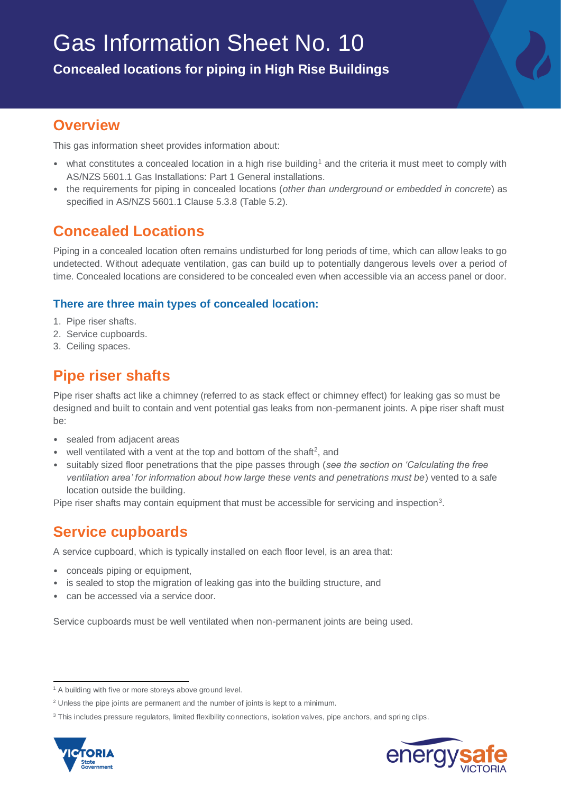**Concealed locations for piping in High Rise Buildings**

### **Overview**

This gas information sheet provides information about:

- what constitutes a concealed location in a high rise building<sup>1</sup> and the criteria it must meet to comply with AS/NZS 5601.1 Gas Installations: Part 1 General installations.
- the requirements for piping in concealed locations (*other than underground or embedded in concrete*) as specified in AS/NZS 5601.1 Clause 5.3.8 (Table 5.2).

## **Concealed Locations**

Piping in a concealed location often remains undisturbed for long periods of time, which can allow leaks to go undetected. Without adequate ventilation, gas can build up to potentially dangerous levels over a period of time. Concealed locations are considered to be concealed even when accessible via an access panel or door.

#### **There are three main types of concealed location:**

- 1. Pipe riser shafts.
- 2. Service cupboards.
- 3. Ceiling spaces.

# **Pipe riser shafts**

Pipe riser shafts act like a chimney (referred to as stack effect or chimney effect) for leaking gas so must be designed and built to contain and vent potential gas leaks from non-permanent joints. A pipe riser shaft must be:

- sealed from adjacent areas
- well ventilated with a vent at the top and bottom of the shaft<sup>2</sup>, and
- suitably sized floor penetrations that the pipe passes through (*see the section on 'Calculating the free ventilation area' for information about how large these vents and penetrations must be*) vented to a safe location outside the building.

Pipe riser shafts may contain equipment that must be accessible for servicing and inspection<sup>3</sup>.

## **Service cupboards**

A service cupboard, which is typically installed on each floor level, is an area that:

- conceals piping or equipment,
- is sealed to stop the migration of leaking gas into the building structure, and
- can be accessed via a service door.

Service cupboards must be well ventilated when non-permanent joints are being used.

<sup>&</sup>lt;sup>3</sup> This includes pressure regulators, limited flexibility connections, isolation valves, pipe anchors, and spring clips.





 $\overline{a}$ <sup>1</sup> A building with five or more storeys above ground level.

<sup>&</sup>lt;sup>2</sup> Unless the pipe joints are permanent and the number of joints is kept to a minimum.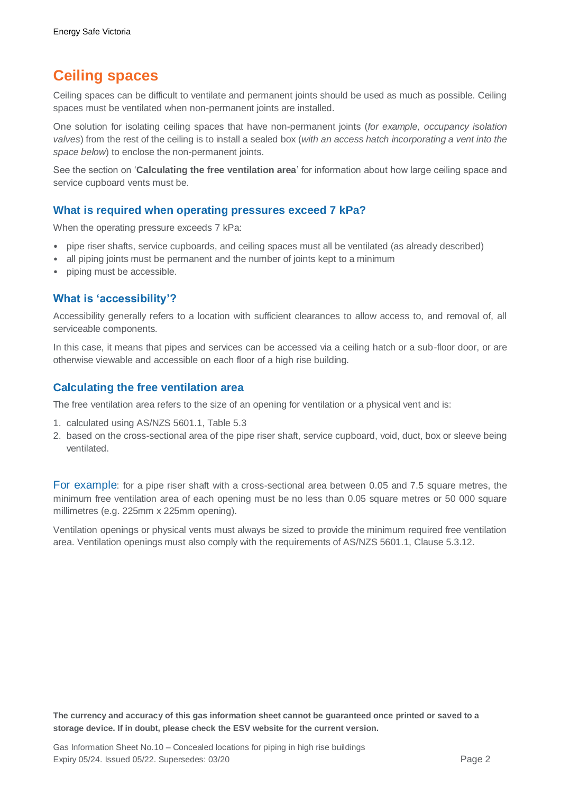## **Ceiling spaces**

Ceiling spaces can be difficult to ventilate and permanent joints should be used as much as possible. Ceiling spaces must be ventilated when non-permanent joints are installed.

One solution for isolating ceiling spaces that have non-permanent joints (*for example, occupancy isolation valves*) from the rest of the ceiling is to install a sealed box (*with an access hatch incorporating a vent into the space below*) to enclose the non-permanent joints.

See the section on '**Calculating the free ventilation area**' for information about how large ceiling space and service cupboard vents must be.

#### **What is required when operating pressures exceed 7 kPa?**

When the operating pressure exceeds 7 kPa:

- pipe riser shafts, service cupboards, and ceiling spaces must all be ventilated (as already described)
- all piping joints must be permanent and the number of joints kept to a minimum
- piping must be accessible.

#### **What is 'accessibility'?**

Accessibility generally refers to a location with sufficient clearances to allow access to, and removal of, all serviceable components.

In this case, it means that pipes and services can be accessed via a ceiling hatch or a sub-floor door, or are otherwise viewable and accessible on each floor of a high rise building.

#### **Calculating the free ventilation area**

The free ventilation area refers to the size of an opening for ventilation or a physical vent and is:

- 1. calculated using AS/NZS 5601.1, Table 5.3
- 2. based on the cross-sectional area of the pipe riser shaft, service cupboard, void, duct, box or sleeve being ventilated.

For example: for a pipe riser shaft with a cross-sectional area between 0.05 and 7.5 square metres, the minimum free ventilation area of each opening must be no less than 0.05 square metres or 50 000 square millimetres (e.g. 225mm x 225mm opening).

Ventilation openings or physical vents must always be sized to provide the minimum required free ventilation area. Ventilation openings must also comply with the requirements of AS/NZS 5601.1, Clause 5.3.12.

**The currency and accuracy of this gas information sheet cannot be guaranteed once printed or saved to a storage device. If in doubt, please check the ESV website for the current version.**